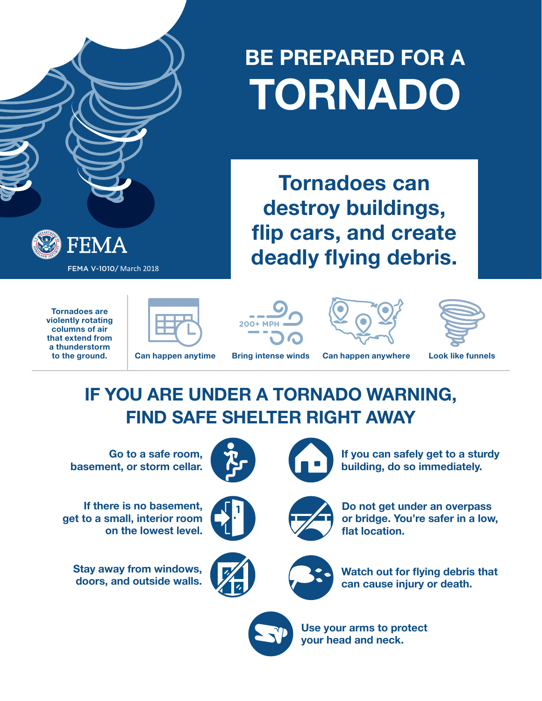# **BE PREPARED FOR A TORNADO**

**Tornadoes can** 

**destroy buildings,** 

**flip cars, and create** 

**deadly flying debris.**

FEMA FEMA V-1010/ March 2018

> **Tornadoes are violently rotating columns of air that extend from a thunderstorm to the ground.**









**Can happen anytime Bring intense winds Can happen anywhere Look like funnels**

# **IF YOU ARE UNDER A TORNADO WARNING, FIND SAFE SHELTER RIGHT AWAY**

**Go to a safe room, basement, or storm cellar.**

**If there is no basement, get to a small, interior room on the lowest level.**

**Stay away from windows, doors, and outside walls.**







**If you can safely get to a sturdy building, do so immediately.**







**Watch out for flying debris that can cause injury or death.**



**Use your arms to protect your head and neck.**